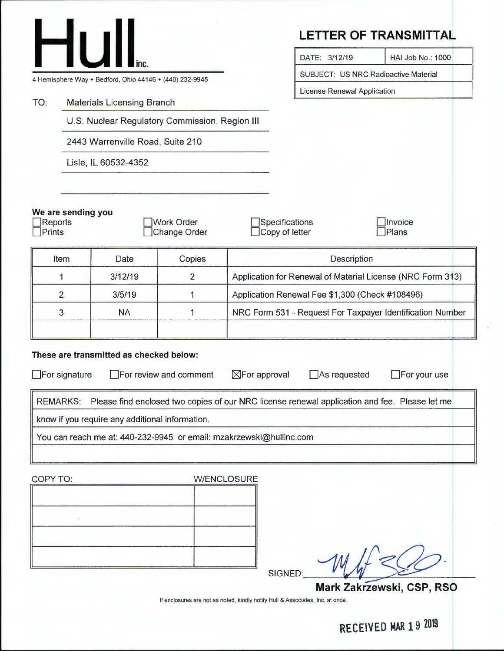|                                                         |                                |                                                                     |                                   |                                                            |                                  |             | <b>LETTER OF TRANSMITTAL</b>                                                                                         |
|---------------------------------------------------------|--------------------------------|---------------------------------------------------------------------|-----------------------------------|------------------------------------------------------------|----------------------------------|-------------|----------------------------------------------------------------------------------------------------------------------|
|                                                         | HU                             |                                                                     |                                   |                                                            | DATE: 3/12/19                    |             | HAI Job No.: 1000                                                                                                    |
| 4 Hemisphere Way • Bedford, Ohio 44146 • (440) 232-9945 |                                |                                                                     |                                   | SUBJECT: US NRC Radioactive Material                       |                                  |             |                                                                                                                      |
| <b>Materials Licensing Branch</b>                       |                                |                                                                     |                                   | License Renewal Application                                |                                  |             |                                                                                                                      |
| TO:                                                     |                                | U.S. Nuclear Regulatory Commission, Region III                      |                                   |                                                            |                                  |             |                                                                                                                      |
|                                                         |                                |                                                                     |                                   |                                                            |                                  |             |                                                                                                                      |
|                                                         |                                | 2443 Warrenville Road, Suite 210                                    |                                   |                                                            |                                  |             |                                                                                                                      |
|                                                         |                                | Lisle, IL 60532-4352                                                |                                   |                                                            |                                  |             |                                                                                                                      |
|                                                         |                                |                                                                     |                                   |                                                            |                                  |             |                                                                                                                      |
| Reports<br>Prints                                       | We are sending you             |                                                                     | <b>Work Order</b><br>Change Order |                                                            | Specifications<br>Copy of letter |             | Invoice<br>Plans                                                                                                     |
|                                                         | Item                           | Date                                                                | Copies                            |                                                            |                                  | Description |                                                                                                                      |
|                                                         | 3/12/19<br>$\overline{2}$<br>1 |                                                                     |                                   | Application for Renewal of Material License (NRC Form 313) |                                  |             |                                                                                                                      |
|                                                         | $\overline{2}$                 | 3/5/19                                                              | 1                                 | Application Renewal Fee \$1,300 (Check #108496)            |                                  |             |                                                                                                                      |
|                                                         | 3                              | <b>NA</b>                                                           | 1                                 | NRC Form 531 - Request For Taxpayer Identification Number  |                                  |             |                                                                                                                      |
|                                                         |                                |                                                                     |                                   |                                                            |                                  |             |                                                                                                                      |
| <b>REMARKS:</b>                                         | $\Box$ For signature           | These are transmitted as checked below:                             | For review and comment            | $\boxtimes$ For approval                                   | $\Box$ As requested              |             | $\Box$ For your use<br>Please find enclosed two copies of our NRC license renewal application and fee. Please let me |
|                                                         |                                | know if you require any additional information.                     |                                   |                                                            |                                  |             |                                                                                                                      |
|                                                         |                                | You can reach me at: 440-232-9945 or email: mzakrzewski@hullinc.com |                                   |                                                            |                                  |             |                                                                                                                      |
|                                                         |                                |                                                                     |                                   |                                                            |                                  |             |                                                                                                                      |
| COPY TO:                                                |                                |                                                                     | <b>W/ENCLOSURE</b>                |                                                            |                                  |             |                                                                                                                      |
|                                                         |                                |                                                                     |                                   |                                                            |                                  |             |                                                                                                                      |
|                                                         |                                |                                                                     |                                   |                                                            |                                  |             |                                                                                                                      |
|                                                         |                                |                                                                     |                                   |                                                            |                                  |             |                                                                                                                      |
|                                                         |                                |                                                                     |                                   |                                                            | SIGNED:                          |             |                                                                                                                      |
|                                                         |                                |                                                                     |                                   |                                                            |                                  |             | Mark Zakrzewski, CSP, RSO                                                                                            |

If enclosures are not as noted, kindly notify Hull & Associates, Inc. at once.

**RECEIVED MAR 19 2019**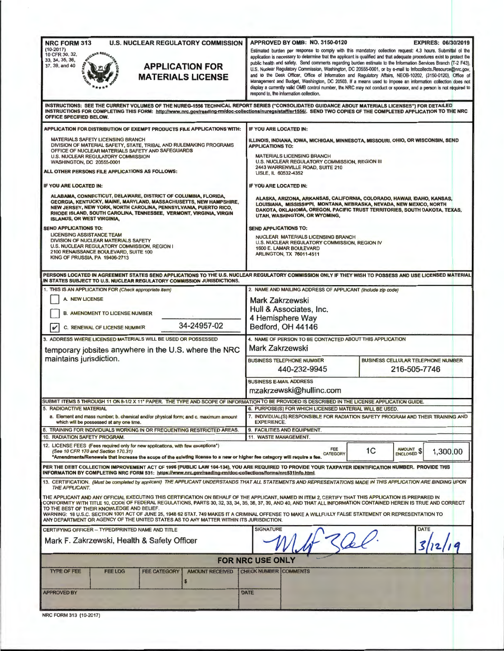| <b>U.S. NUCLEAR REGULATORY COMMISSION</b><br><b>NRC FORM 313</b><br>$(10-2017)$<br>10 CFR 30, 32,<br>33, 34, 35, 36,<br><b>APPLICATION FOR</b><br>37, 39, and 40<br><b>MATERIALS LICENSE</b>                                                                                                                                                                                                                                                                                                                                                              | APPROVED BY OMB: NO. 3150-0120<br><b>EXPIRES: 06/30/2019</b><br>Estimated burden per response to comply with this mandatory collection request: 4.3 hours. Submittal of the<br>application is necessary to determine that the applicant is qualified and that adequate procedures exist to protect the<br>public health and safety. Send comments regarding burden estimate to the Information Services Branch (T-2 F43).<br>U.S. Nuclear Regulatory Commission, Washington, DC 20555-0001, or by e-mail to Infocollects.Resource@nrc.gov,<br>and to the Desk Officer, Office of Information and Regulatory Affairs, NEOB-10202, (3150-0120), Office of<br>Management and Budget, Washington, DC 20503. If a means used to impose an information collection does not<br>display a currently valid OMB control number, the NRC may not conduct or sponsor, and a person is not required to<br>respond to, the information collection, |  |  |
|-----------------------------------------------------------------------------------------------------------------------------------------------------------------------------------------------------------------------------------------------------------------------------------------------------------------------------------------------------------------------------------------------------------------------------------------------------------------------------------------------------------------------------------------------------------|--------------------------------------------------------------------------------------------------------------------------------------------------------------------------------------------------------------------------------------------------------------------------------------------------------------------------------------------------------------------------------------------------------------------------------------------------------------------------------------------------------------------------------------------------------------------------------------------------------------------------------------------------------------------------------------------------------------------------------------------------------------------------------------------------------------------------------------------------------------------------------------------------------------------------------------|--|--|
| OFFICE SPECIFIED BELOW.                                                                                                                                                                                                                                                                                                                                                                                                                                                                                                                                   | INSTRUCTIONS: SEE THE CURRENT VOLUMES OF THE NUREG-1556 TECHNICAL REPORT SERIES ("CONSOLIDATED GUIDANCE ABOUT MATERIALS LICENSES") FOR DETAILED<br>INSTRUCTIONS FOR COMPLETING THIS FORM: http://www.nrc.gov/reading-mn/doc-collections/nuregs/staff/sr1556/. SEND TWO COPIES OF THE COMPLETED APPLICATION TO THE NRC                                                                                                                                                                                                                                                                                                                                                                                                                                                                                                                                                                                                                |  |  |
| APPLICATION FOR DISTRIBUTION OF EXEMPT PRODUCTS FILE APPLICATIONS WITH:                                                                                                                                                                                                                                                                                                                                                                                                                                                                                   | IF YOU ARE LOCATED IN:                                                                                                                                                                                                                                                                                                                                                                                                                                                                                                                                                                                                                                                                                                                                                                                                                                                                                                               |  |  |
| <b>MATERIALS SAFETY LICENSING BRANCH</b><br>DIVISION OF MATERIAL SAFETY, STATE, TRIBAL AND RULEMAKING PROGRAMS<br>OFFICE OF NUCLEAR MATERIALS SAFETY AND SAFEGUARDS<br><b>U.S. NUCLEAR REGULATORY COMMISSION</b><br><b>WASHINGTON, DC 20555-0001</b><br>ALL OTHER PERSONS FILE APPLICATIONS AS FOLLOWS:                                                                                                                                                                                                                                                   | ILLINOIS, INDIANA, IOWA, MICHIGAN, MINNESOTA, MISSOURI, OHIO, OR WISCONSIN, SEND<br><b>APPLICATIONS TO:</b><br><b>MATERIALS LICENSING BRANCH</b><br>U.S. NUCLEAR REGULATORY COMMISSION, REGION III<br>2443 WARRENVILLE ROAD, SUITE 210<br>LISLE, IL 60532-4352                                                                                                                                                                                                                                                                                                                                                                                                                                                                                                                                                                                                                                                                       |  |  |
| IF YOU ARE LOCATED IN:                                                                                                                                                                                                                                                                                                                                                                                                                                                                                                                                    | IF YOU ARE LOCATED IN:                                                                                                                                                                                                                                                                                                                                                                                                                                                                                                                                                                                                                                                                                                                                                                                                                                                                                                               |  |  |
| ALABAMA, CONNECTICUT, DELAWARE, DISTRICT OF COLUMBIA, FLORIDA,<br>GEORGIA, KENTUCKY, MAINE, MARYLAND, MASSACHUSETTS, NEW HAMPSHIRE,<br>NEW JERSEY, NEW YORK, NORTH CAROLINA, PENNSYLVANIA, PUERTO RICO,<br>RHODE ISLAND, SOUTH CAROLINA, TENNESSEE, VERMONT, VIRGINIA, VIRGIN<br><b>ISLANDS, OR WEST VIRGINIA,</b><br><b>SEND APPLICATIONS TO:</b><br><b>LICENSING ASSISTANCE TEAM</b><br>DIVISION OF NUCLEAR MATERIALS SAFETY<br>U.S. NUCLEAR REGULATORY COMMISSION, REGION I<br>2100 RENAISSANCE BOULEVARD, SUITE 100<br>KING OF PRUSSIA, PA 19406-2713 | ALASKA, ARIZONA, ARKANSAS, CALIFORNIA, COLORADO, HAWAII, IDAHO, KANSAS,<br>LOUISIANA, MISSISSIPPI, MONTANA, NEBRASKA, NEVADA, NEW MEXICO, NORTH<br>DAKOTA, OKLAHOMA, OREGON, PACIFIC TRUST TERRITORIES, SOUTH DAKOTA, TEXAS,<br>UTAH, WASHINGTON, OR WYOMING,<br><b>SEND APPLICATIONS TO:</b><br>NUCLEAR MATERIALS LICENSING BRANCH<br>U.S. NUCLEAR REGULATORY COMMISSION, REGION IV<br>1600 E. LAMAR BOULEVARD<br><b>ARLINGTON, TX 76011-4511</b>                                                                                                                                                                                                                                                                                                                                                                                                                                                                                   |  |  |
| IN STATES SUBJECT TO U.S. NUCLEAR REGULATORY COMMISSION JURISDICTIONS.                                                                                                                                                                                                                                                                                                                                                                                                                                                                                    | PERSONS LOCATED IN AGREEMENT STATES SEND APPLICATIONS TO THE U.S. NUCLEAR REGULATORY COMMISSION ONLY IF THEY WISH TO POSSESS AND USE LICENSED MATERIAL                                                                                                                                                                                                                                                                                                                                                                                                                                                                                                                                                                                                                                                                                                                                                                               |  |  |
| 1. THIS IS AN APPLICATION FOR (Check appropriate item)<br>A NEW LICENSE<br><b>B. AMENDMENT TO LICENSE NUMBER</b><br>34-24957-02<br>V<br>C. RENEWAL OF LICENSE NUMBER                                                                                                                                                                                                                                                                                                                                                                                      | 2. NAME AND MAILING ADDRESS OF APPLICANT (Include zip code)<br>Mark Zakrzewski<br>Hull & Associates, Inc.<br>4 Hemisphere Way<br>Bedford, OH 44146                                                                                                                                                                                                                                                                                                                                                                                                                                                                                                                                                                                                                                                                                                                                                                                   |  |  |
| 3. ADDRESS WHERE LICENSED MATERIALS WILL BE USED OR POSSESSED<br>temporary jobsites anywhere in the U.S. where the NRC<br>maintains jurisdiction.                                                                                                                                                                                                                                                                                                                                                                                                         | 4. NAME OF PERSON TO BE CONTACTED ABOUT THIS APPLICATION<br>Mark Zakrzewski<br><b>BUSINESS CELLULAR TELEPHONE NUMBER</b><br><b>BUSINESS TELEPHONE NUMBER</b><br>216-505-7746<br>440-232-9945<br><b>BUSINESS E-MAIL ADDRESS</b><br>mzakrzewski@hullinc.com                                                                                                                                                                                                                                                                                                                                                                                                                                                                                                                                                                                                                                                                            |  |  |
| SUBMIT ITEMS 5 THROUGH 11 ON 8-1/2 X 11" PAPER. THE TYPE AND SCOPE OF INFORMATION TO BE PROVIDED IS DESCRIBED IN THE LICENSE APPLICATION GUIDE.                                                                                                                                                                                                                                                                                                                                                                                                           |                                                                                                                                                                                                                                                                                                                                                                                                                                                                                                                                                                                                                                                                                                                                                                                                                                                                                                                                      |  |  |
| 5. RADIOACTIVE MATERIAL<br>a. Element and mass number; b. chemical and/or physical form; and c. maximum amount<br>which will be possessed at any one time.                                                                                                                                                                                                                                                                                                                                                                                                | 6. PURPOSE(S) FOR WHICH LICENSED MATERIAL WILL BE USED.<br>7. INDIVIDUAL(S) RESPONSIBLE FOR RADIATION SAFETY PROGRAM AND THEIR TRAINING AND<br><b>EXPERIENCE.</b>                                                                                                                                                                                                                                                                                                                                                                                                                                                                                                                                                                                                                                                                                                                                                                    |  |  |
| 8. TRAINING FOR INDIVIDUALS WORKING IN OR FREQUENTING RESTRICTED AREAS.<br>10. RADIATION SAFETY PROGRAM.                                                                                                                                                                                                                                                                                                                                                                                                                                                  | 9. FACILITIES AND EQUIPMENT.<br>11. WASTE MANAGEMENT.                                                                                                                                                                                                                                                                                                                                                                                                                                                                                                                                                                                                                                                                                                                                                                                                                                                                                |  |  |
| 12. LICENSE FEES (Fees required only for new applications, with few exceptions*)<br>(See 10 CFR 170 and Section 170.31)<br>*Amendments/Renewals that increase the scope of the existing license to a new or higher fee category will require a fee.                                                                                                                                                                                                                                                                                                       | AMOUNT \$<br>FEE<br>1 <sup>C</sup><br>1,300.00<br><b>CATEGORY</b>                                                                                                                                                                                                                                                                                                                                                                                                                                                                                                                                                                                                                                                                                                                                                                                                                                                                    |  |  |
| INFORMATION BY COMPLETING NRC FORM 531: https://www.nrc.gov/reading-rm/doc-collections/forms/nrc531info.html.                                                                                                                                                                                                                                                                                                                                                                                                                                             | PER THE DEBT COLLECTION IMPROVEMENT ACT OF 1996 (PUBLIC LAW 104-134), YOU ARE REQUIRED TO PROVIDE YOUR TAXPAYER IDENTIFICATION NUMBER. PROVIDE THIS                                                                                                                                                                                                                                                                                                                                                                                                                                                                                                                                                                                                                                                                                                                                                                                  |  |  |
| THE APPLICANT.<br>THE APPLICANT AND ANY OFFICIAL EXECUTING THIS CERTIFICATION ON BEHALF OF THE APPLICANT, NAMED IN ITEM 2, CERTIFY THAT THIS APPLICATION IS PREPARED IN<br>TO THE BEST OF THEIR KNOWLEDGE AND BELIEF.<br>WARNING: 18 U.S.C. SECTION 1001 ACT OF JUNE 25, 1948 62 STAT. 749 MAKES IT A CRIMINAL OFFENSE TO MAKE A WILLFULLY FALSE STATEMENT OR REPRESENTATION TO<br>ANY DEPARTMENT OR AGENCY OF THE UNITED STATES AS TO ANY MATTER WITHIN ITS JURISDICTION.                                                                                | 13. CERTIFICATION. (Must be completed by applicant) THE APPLICANT UNDERSTANDS THAT ALL STATEMENTS AND REPRESENTATIONS MADE IN THIS APPLICATION ARE BINDING UPON<br>CONFORMITY WITH TITLE 10, CODE OF FEDERAL REGULATIONS, PARTS 30, 32, 33, 34, 35, 36, 37, 39, AND 40, AND THAT ALL INFORMATION CONTAINED HEREIN IS TRUE AND CORRECT                                                                                                                                                                                                                                                                                                                                                                                                                                                                                                                                                                                                |  |  |
| CERTIFYING OFFICER - TYPED/PRINTED NAME AND TITLE<br>Mark F. Zakrzewski, Health & Safety Officer                                                                                                                                                                                                                                                                                                                                                                                                                                                          | <b>SIGNATURE</b><br><b>DATE</b>                                                                                                                                                                                                                                                                                                                                                                                                                                                                                                                                                                                                                                                                                                                                                                                                                                                                                                      |  |  |
|                                                                                                                                                                                                                                                                                                                                                                                                                                                                                                                                                           | <b>FOR NRC USE ONLY</b>                                                                                                                                                                                                                                                                                                                                                                                                                                                                                                                                                                                                                                                                                                                                                                                                                                                                                                              |  |  |
| <b>AMOUNT RECEIVED</b><br><b>TYPE OF FEE</b><br><b>FEE LOG</b><br><b>FEE CATEGORY</b><br>$\boldsymbol{s}$                                                                                                                                                                                                                                                                                                                                                                                                                                                 | CHECK NUMBER COMMENTS                                                                                                                                                                                                                                                                                                                                                                                                                                                                                                                                                                                                                                                                                                                                                                                                                                                                                                                |  |  |
| <b>APPROVED BY</b>                                                                                                                                                                                                                                                                                                                                                                                                                                                                                                                                        | <b>DATE</b>                                                                                                                                                                                                                                                                                                                                                                                                                                                                                                                                                                                                                                                                                                                                                                                                                                                                                                                          |  |  |
| NRC FORM 313 (10-2017)                                                                                                                                                                                                                                                                                                                                                                                                                                                                                                                                    |                                                                                                                                                                                                                                                                                                                                                                                                                                                                                                                                                                                                                                                                                                                                                                                                                                                                                                                                      |  |  |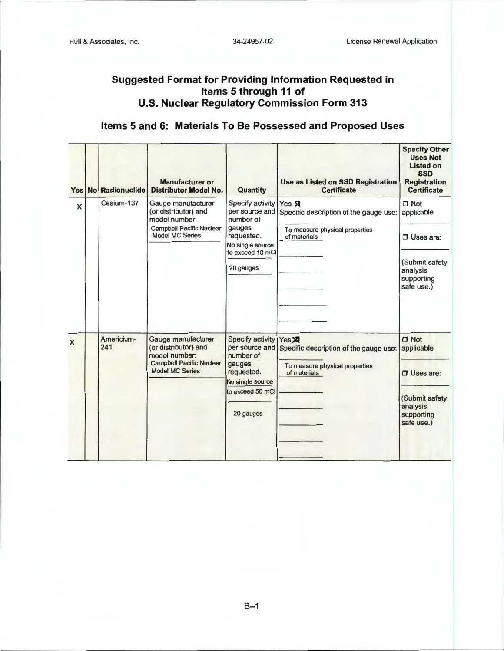## **Suggested Format for Providing Information Requested in Items 5 through 11 of U.S. Nuclear Regulatory Commission Form 313**

## **Items 5 and 6: Materials To Be Possessed and Proposed Uses**

|                | Yes No Radionuclide | <b>Manufacturer or</b><br><b>Distributor Model No.</b>                                                                   | Quantity                                                                                                                            | <b>Use as Listed on SSD Registration</b><br><b>Certificate</b>                                      | <b>Specify Other</b><br><b>Uses Not</b><br><b>Listed on</b><br><b>SSD</b><br><b>Registration</b><br><b>Certificate</b> |
|----------------|---------------------|--------------------------------------------------------------------------------------------------------------------------|-------------------------------------------------------------------------------------------------------------------------------------|-----------------------------------------------------------------------------------------------------|------------------------------------------------------------------------------------------------------------------------|
| $\pmb{\times}$ | Cesium-137          | Gauge manufacturer<br>(or distributor) and<br>model number:<br><b>Campbell Pacific Nuclear</b><br><b>Model MC Series</b> | Specify activity<br>per source and<br>number of<br>gauges<br>requested.                                                             | Yes & 2<br>Specific description of the gauge use:<br>To measure physical properties<br>of materials | $\Box$ Not<br>applicable<br>$\Box$ Uses are:                                                                           |
|                |                     |                                                                                                                          | No single source<br>to exceed 10 mCi<br>20 gauges                                                                                   |                                                                                                     | (Submit safety<br>analysis<br>supporting<br>safe use.)                                                                 |
| $\mathsf{x}$   | Americium-<br>241   | Gauge manufacturer<br>(or distributor) and<br>model number:<br><b>Campbell Pacific Nuclear</b><br><b>Model MC Series</b> | <b>Specify activity</b><br>per source and<br>number of<br>gauges<br>requested.<br>No single source<br>to exceed 50 mCi<br>20 gauges | Yes XI<br>Specific description of the gauge use:<br>To measure physical properties<br>of materials  | $\Box$ Not<br>applicable<br>$\Box$ Uses are:<br>(Submit safety<br>analysis<br>supporting<br>safe use.)                 |

 $B-1$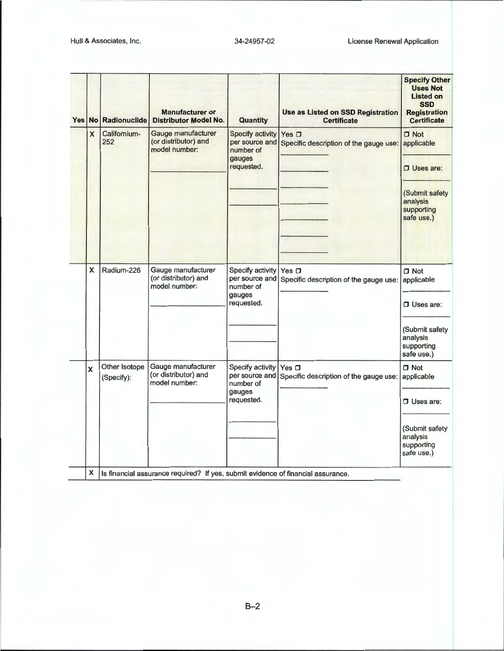| Yes No |                         | <b>Radionuclide</b>         | <b>Manufacturer or</b><br><b>Distributor Model No.</b>                           | Quantity                                                                       | <b>Use as Listed on SSD Registration</b><br><b>Certificate</b>  | <b>Specify Other</b><br><b>Uses Not</b><br><b>Listed on</b><br><b>SSD</b><br><b>Registration</b><br><b>Certificate</b> |
|--------|-------------------------|-----------------------------|----------------------------------------------------------------------------------|--------------------------------------------------------------------------------|-----------------------------------------------------------------|------------------------------------------------------------------------------------------------------------------------|
|        | $\overline{\mathsf{x}}$ | Califomium-<br>252          | Gauge manufacturer<br>(or distributor) and<br>model number:                      | <b>Specify activity</b><br>per source and<br>number of<br>gauges<br>requested. | Yes $\Box$<br>Specific description of the gauge use: applicable | $\Box$ Not<br>$\Box$ Uses are:                                                                                         |
|        |                         |                             |                                                                                  |                                                                                |                                                                 | (Submit safety<br>analysis<br>supporting<br>safe use.)                                                                 |
|        | X<br>Radium-226         |                             | Gauge manufacturer<br>(or distributor) and<br>model number:                      | Specify activity<br>per source and<br>number of<br>gauges<br>requested.        | Yes $\square$<br>Specific description of the gauge use:         | $\Box$ Not<br>applicable<br>$\Box$ Uses are:                                                                           |
|        |                         |                             |                                                                                  |                                                                                |                                                                 | (Submit safety<br>analysis<br>supporting<br>safe use.)                                                                 |
|        | $\mathbf x$             | Other Isotope<br>(Specify): | Gauge manufacturer<br>(or distributor) and<br>model number:                      | Specify activity<br>per source and<br>number of<br>gauges<br>requested.        | Yes $\square$<br>Specific description of the gauge use:         | $\Box$ Not<br>applicable<br>$\Box$ Uses are:                                                                           |
|        |                         |                             |                                                                                  |                                                                                |                                                                 | (Submit safety<br>analysis<br>supporting<br>safe use.)                                                                 |
|        | X                       |                             | Is financial assurance required? If yes, submit evidence of financial assurance. |                                                                                |                                                                 |                                                                                                                        |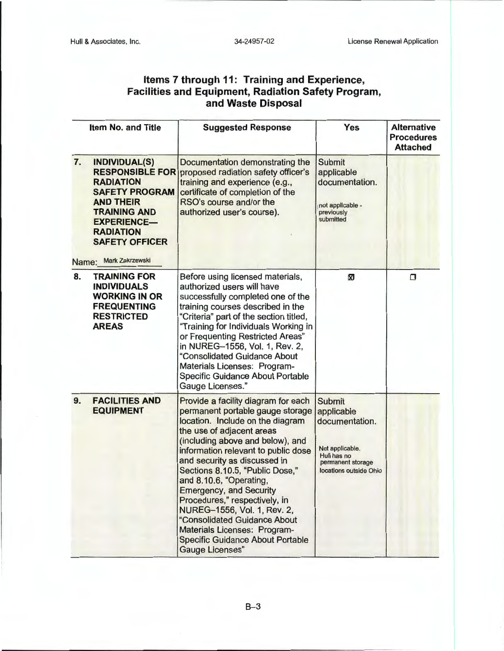## **Items 7 through 11: Training and Experience, Facilities and Equipment, Radiation Safety Program, and Waste Disposal**

|    | <b>Item No. and Title</b>                                                                                                                                                                                   | <b>Suggested Response</b>                                                                                                                                                                                                                                                                                                                                                                                                                                                                                                                                | Yes                                                                                                                            | <b>Alternative</b><br><b>Procedures</b><br><b>Attached</b> |
|----|-------------------------------------------------------------------------------------------------------------------------------------------------------------------------------------------------------------|----------------------------------------------------------------------------------------------------------------------------------------------------------------------------------------------------------------------------------------------------------------------------------------------------------------------------------------------------------------------------------------------------------------------------------------------------------------------------------------------------------------------------------------------------------|--------------------------------------------------------------------------------------------------------------------------------|------------------------------------------------------------|
| 7. | INDIVIDUAL(S)<br><b>RADIATION</b><br><b>SAFETY PROGRAM</b><br><b>AND THEIR</b><br><b>TRAINING AND</b><br><b>EXPERIENCE-</b><br><b>RADIATION</b><br><b>SAFETY OFFICER</b><br><b>Mark Zakrzewski</b><br>Name: | Documentation demonstrating the<br><b>RESPONSIBLE FOR proposed radiation safety officer's</b><br>training and experience (e.g.,<br>certificate of completion of the<br>RSO's course and/or the<br>authorized user's course).                                                                                                                                                                                                                                                                                                                             | <b>Submit</b><br>applicable<br>documentation.<br>not applicable -<br>previously<br>submitted                                   |                                                            |
| 8. | <b>TRAINING FOR</b><br><b>INDIVIDUALS</b><br><b>WORKING IN OR</b><br><b>FREQUENTING</b><br><b>RESTRICTED</b><br><b>AREAS</b>                                                                                | Before using licensed materials,<br>authorized users will have<br>successfully completed one of the<br>training courses described in the<br>"Criteria" part of the section titled,<br>"Training for Individuals Working in<br>or Frequenting Restricted Areas"<br>in NUREG-1556, Vol. 1, Rev. 2,<br>"Consolidated Guidance About<br>Materials Licenses: Program-<br>Specific Guidance About Portable<br><b>Gauge Licenses."</b>                                                                                                                          | ⊠                                                                                                                              | $\Box$                                                     |
| 9. | <b>FACILITIES AND</b><br><b>EQUIPMENT</b>                                                                                                                                                                   | Provide a facility diagram for each<br>permanent portable gauge storage<br>location. Include on the diagram<br>the use of adjacent areas<br>(including above and below), and<br>information relevant to public dose<br>and security as discussed in<br>Sections 8.10.5, "Public Dose,"<br>and 8.10.6, "Operating,<br><b>Emergency, and Security</b><br>Procedures," respectively, in<br>NUREG-1556, Vol. 1, Rev. 2,<br>"Consolidated Guidance About<br>Materials Licenses: Program-<br><b>Specific Guidance About Portable</b><br><b>Gauge Licenses"</b> | <b>Submit</b><br>applicable<br>documentation.<br>Not applicable.<br>Hull has no<br>permanent storage<br>locations outside Ohio |                                                            |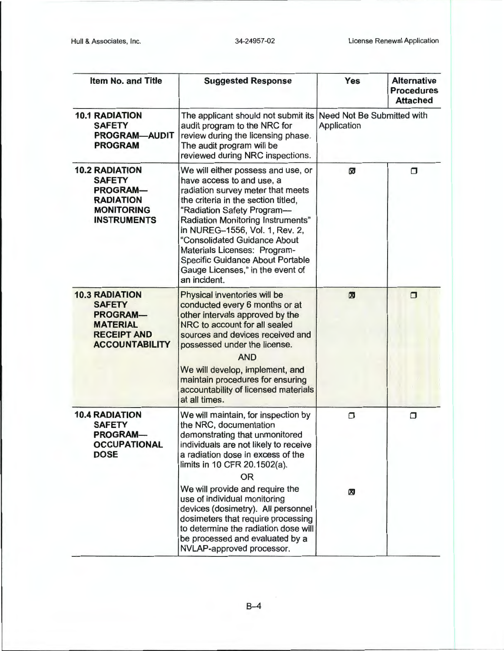- -- -------- - ---- --- -------------------- -----,-----

| <b>Item No. and Title</b>                                                                                                   | <b>Suggested Response</b>                                                                                                                                                                                                                                                                                                                                                                                       | <b>Yes</b> | <b>Alternative</b><br><b>Procedures</b><br><b>Attached</b> |
|-----------------------------------------------------------------------------------------------------------------------------|-----------------------------------------------------------------------------------------------------------------------------------------------------------------------------------------------------------------------------------------------------------------------------------------------------------------------------------------------------------------------------------------------------------------|------------|------------------------------------------------------------|
| <b>10.1 RADIATION</b><br><b>SAFETY</b><br><b>PROGRAM-AUDIT</b><br><b>PROGRAM</b>                                            | Need Not Be Submitted with<br>The applicant should not submit its<br>audit program to the NRC for<br>Application<br>review during the licensing phase.<br>The audit program will be<br>reviewed during NRC inspections.                                                                                                                                                                                         |            |                                                            |
| <b>10.2 RADIATION</b><br><b>SAFETY</b><br><b>PROGRAM-</b><br><b>RADIATION</b><br><b>MONITORING</b><br><b>INSTRUMENTS</b>    | We will either possess and use, or<br>have access to and use, a<br>radiation survey meter that meets<br>the criteria in the section titled,<br>"Radiation Safety Program-<br>Radiation Monitoring Instruments"<br>in NUREG-1556, Vol. 1, Rev. 2,<br>"Consolidated Guidance About<br>Materials Licenses: Program-<br><b>Specific Guidance About Portable</b><br>Gauge Licenses," in the event of<br>an incident. | ⊠          | $\Box$                                                     |
| <b>10.3 RADIATION</b><br><b>SAFETY</b><br><b>PROGRAM-</b><br><b>MATERIAL</b><br><b>RECEIPT AND</b><br><b>ACCOUNTABILITY</b> | Physical inventories will be<br>conducted every 6 months or at<br>other intervals approved by the<br>NRC to account for all sealed<br>sources and devices received and<br>possessed under the license.<br><b>AND</b><br>We will develop, implement, and<br>maintain procedures for ensuring<br>accountability of licensed materials<br>at all times.                                                            | ⊠          | $\Box$                                                     |
| <b>10.4 RADIATION</b><br><b>SAFETY</b><br>PROGRAM-<br><b>OCCUPATIONAL</b><br><b>DOSE</b>                                    | We will maintain, for inspection by<br>the NRC, documentation<br>demonstrating that unmonitored<br>individuals are not likely to receive<br>a radiation dose in excess of the<br>limits in 10 CFR 20.1502(a).<br><b>OR</b>                                                                                                                                                                                      | $\Box$     | $\Box$                                                     |
|                                                                                                                             | We will provide and require the<br>use of individual monitoring<br>devices (dosimetry). All personnel<br>dosimeters that require processing<br>to determine the radiation dose will<br>be processed and evaluated by a<br>NVLAP-approved processor.                                                                                                                                                             | 网          |                                                            |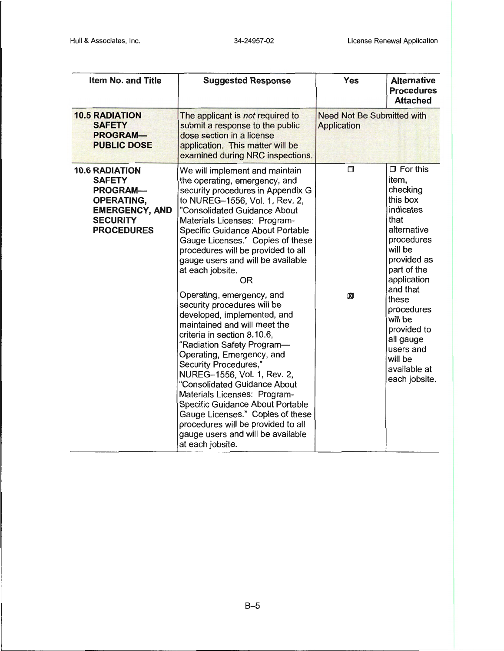| <b>Item No. and Title</b>                                                                                                                       | <b>Suggested Response</b>                                                                                                                                                                                                                                                                                                                                                                                                                                                                                                                                                                                                                                                                                                                                                                                                                                                                                             | <b>Yes</b>                                              | <b>Alternative</b><br><b>Procedures</b><br><b>Attached</b>                                                                                                                                                                                                                                    |
|-------------------------------------------------------------------------------------------------------------------------------------------------|-----------------------------------------------------------------------------------------------------------------------------------------------------------------------------------------------------------------------------------------------------------------------------------------------------------------------------------------------------------------------------------------------------------------------------------------------------------------------------------------------------------------------------------------------------------------------------------------------------------------------------------------------------------------------------------------------------------------------------------------------------------------------------------------------------------------------------------------------------------------------------------------------------------------------|---------------------------------------------------------|-----------------------------------------------------------------------------------------------------------------------------------------------------------------------------------------------------------------------------------------------------------------------------------------------|
| <b>10.5 RADIATION</b><br><b>SAFETY</b><br><b>PROGRAM-</b><br><b>PUBLIC DOSE</b>                                                                 | The applicant is not required to<br>submit a response to the public<br>dose section in a license<br>application. This matter will be<br>examined during NRC inspections.                                                                                                                                                                                                                                                                                                                                                                                                                                                                                                                                                                                                                                                                                                                                              | <b>Need Not Be Submitted with</b><br><b>Application</b> |                                                                                                                                                                                                                                                                                               |
| <b>10.6 RADIATION</b><br><b>SAFETY</b><br><b>PROGRAM-</b><br><b>OPERATING,</b><br><b>EMERGENCY, AND</b><br><b>SECURITY</b><br><b>PROCEDURES</b> | We will implement and maintain<br>the operating, emergency, and<br>security procedures in Appendix G<br>to NUREG-1556, Vol. 1, Rev. 2,<br>"Consolidated Guidance About<br>Materials Licenses: Program-<br><b>Specific Guidance About Portable</b><br>Gauge Licenses." Copies of these<br>procedures will be provided to all<br>gauge users and will be available<br>at each jobsite.<br><b>OR</b><br>Operating, emergency, and<br>security procedures will be<br>developed, implemented, and<br>maintained and will meet the<br>criteria in section 8.10.6,<br>"Radiation Safety Program-<br>Operating, Emergency, and<br>Security Procedures,"<br>NUREG-1556, Vol. 1, Rev. 2,<br>"Consolidated Guidance About<br>Materials Licenses: Program-<br>Specific Guidance About Portable<br>Gauge Licenses." Copies of these<br>procedures will be provided to all<br>gauge users and will be available<br>at each jobsite. | σ<br>⊠                                                  | $\Box$ For this<br>item,<br>checking<br>this box<br>indicates<br>that<br>alternative<br>procedures<br>will be<br>provided as<br>part of the<br>application<br>and that<br>these<br>procedures<br>will be<br>provided to<br>all gauge<br>users and<br>will be<br>available at<br>each jobsite. |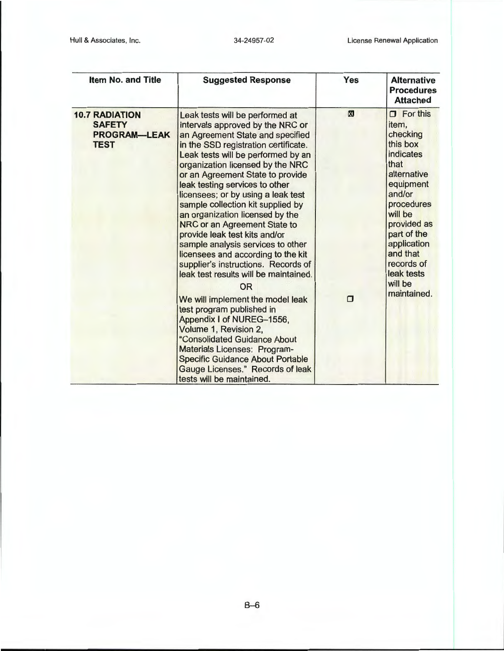| <b>Item No. and Title</b>                                                    | <b>Suggested Response</b>                                                                                                                                                                                                                                                                                                                                                                                                                                                                                                                                                                                                                                                                                                                                                                                                                                                                | <b>Yes</b>            | <b>Alternative</b><br><b>Procedures</b><br><b>Attached</b>                                                                                                                                                                                          |
|------------------------------------------------------------------------------|------------------------------------------------------------------------------------------------------------------------------------------------------------------------------------------------------------------------------------------------------------------------------------------------------------------------------------------------------------------------------------------------------------------------------------------------------------------------------------------------------------------------------------------------------------------------------------------------------------------------------------------------------------------------------------------------------------------------------------------------------------------------------------------------------------------------------------------------------------------------------------------|-----------------------|-----------------------------------------------------------------------------------------------------------------------------------------------------------------------------------------------------------------------------------------------------|
| <b>10.7 RADIATION</b><br><b>SAFETY</b><br><b>PROGRAM-LEAK</b><br><b>TEST</b> | Leak tests will be performed at<br>intervals approved by the NRC or<br>an Agreement State and specified<br>in the SSD registration certificate.<br>Leak tests will be performed by an<br>organization licensed by the NRC<br>or an Agreement State to provide<br>leak testing services to other<br>licensees; or by using a leak test<br>sample collection kit supplied by<br>an organization licensed by the<br>NRC or an Agreement State to<br>provide leak test kits and/or<br>sample analysis services to other<br>licensees and according to the kit<br>supplier's instructions. Records of<br>leak test results will be maintained.<br>OR<br>We will implement the model leak<br>test program published in<br>Appendix I of NUREG-1556,<br>Volume 1, Revision 2,<br>"Consolidated Guidance About<br><b>Materials Licenses: Program-</b><br><b>Specific Guidance About Portable</b> | $\boxtimes$<br>$\Box$ | $\Box$ For this<br>item,<br>checking<br>this box<br>indicates<br>that<br>alternative<br>equipment<br>and/or<br>procedures<br>will be<br>provided as<br>part of the<br>application<br>and that<br>records of<br>leak tests<br>will be<br>maintained. |
|                                                                              | Gauge Licenses." Records of leak<br>tests will be maintained.                                                                                                                                                                                                                                                                                                                                                                                                                                                                                                                                                                                                                                                                                                                                                                                                                            |                       |                                                                                                                                                                                                                                                     |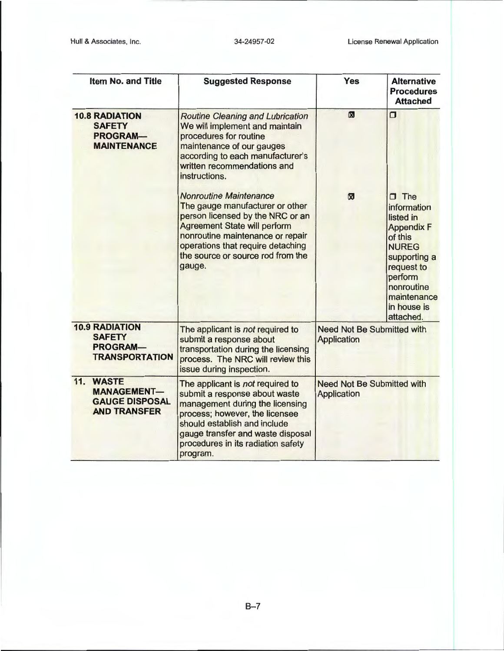| <b>Item No. and Title</b>                                                          | <b>Suggested Response</b>                                                                                                                                                                                                                                           | Yes                                              | <b>Alternative</b><br><b>Procedures</b><br><b>Attached</b>                                                                                                                               |
|------------------------------------------------------------------------------------|---------------------------------------------------------------------------------------------------------------------------------------------------------------------------------------------------------------------------------------------------------------------|--------------------------------------------------|------------------------------------------------------------------------------------------------------------------------------------------------------------------------------------------|
| <b>10.8 RADIATION</b><br><b>SAFETY</b><br><b>PROGRAM-</b><br><b>MAINTENANCE</b>    | <b>Routine Cleaning and Lubrication</b><br>We will implement and maintain<br>procedures for routine<br>maintenance of our gauges<br>according to each manufacturer's<br>written recommendations and<br>instructions.                                                | ⊠                                                | σ                                                                                                                                                                                        |
|                                                                                    | <b>Nonroutine Maintenance</b><br>The gauge manufacturer or other<br>person licensed by the NRC or an<br><b>Agreement State will perform</b><br>nonroutine maintenance or repair<br>operations that require detaching<br>the source or source rod from the<br>gauge. | $\boxtimes$                                      | $\Box$ The<br>information<br>listed in<br><b>Appendix F</b><br>of this<br><b>NUREG</b><br>supporting a<br>request to<br>perform<br>nonroutine<br>maintenance<br>in house is<br>attached. |
| <b>10.9 RADIATION</b><br><b>SAFETY</b><br><b>PROGRAM-</b><br><b>TRANSPORTATION</b> | The applicant is not required to<br>submit a response about<br>transportation during the licensing<br>process. The NRC will review this<br>issue during inspection.                                                                                                 | <b>Need Not Be Submitted with</b><br>Application |                                                                                                                                                                                          |
| 11. WASTE<br><b>MANAGEMENT-</b><br><b>GAUGE DISPOSAL</b><br><b>AND TRANSFER</b>    | The applicant is not required to<br>submit a response about waste<br>management during the licensing<br>process; however, the licensee<br>should establish and include<br>gauge transfer and waste disposal<br>procedures in its radiation safety<br>program.       | <b>Need Not Be Submitted with</b><br>Application |                                                                                                                                                                                          |